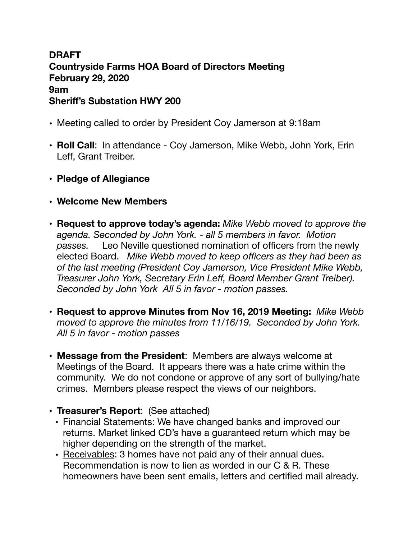## **DRAFT Countryside Farms HOA Board of Directors Meeting February 29, 2020 9am Sheriff's Substation HWY 200**

- Meeting called to order by President Coy Jamerson at 9:18am
- **Roll Call**: In attendance Coy Jamerson, Mike Webb, John York, Erin Leff, Grant Treiber.
- **Pledge of Allegiance**
- **• Welcome New Members**
- **Request to approve today's agenda:** *Mike Webb moved to approve the agenda. Seconded by John York. - all 5 members in favor. Motion passes.* Leo Neville questioned nomination of officers from the newly elected Board. *Mike Webb moved to keep officers as they had been as of the last meeting (President Coy Jamerson, Vice President Mike Webb, Treasurer John York, Secretary Erin Leff, Board Member Grant Treiber). Seconded by John York All 5 in favor - motion passes.*
- **Request to approve Minutes from Nov 16, 2019 Meeting:** *Mike Webb moved to approve the minutes from 11/16/19. Seconded by John York. All 5 in favor - motion passes*
- **Message from the President**: Members are always welcome at Meetings of the Board. It appears there was a hate crime within the community. We do not condone or approve of any sort of bullying/hate crimes. Members please respect the views of our neighbors.
- **Treasurer's Report**: (See attached)
	- Financial Statements: We have changed banks and improved our returns. Market linked CD's have a guaranteed return which may be higher depending on the strength of the market.
	- Receivables: 3 homes have not paid any of their annual dues. Recommendation is now to lien as worded in our C & R. These homeowners have been sent emails, letters and certified mail already.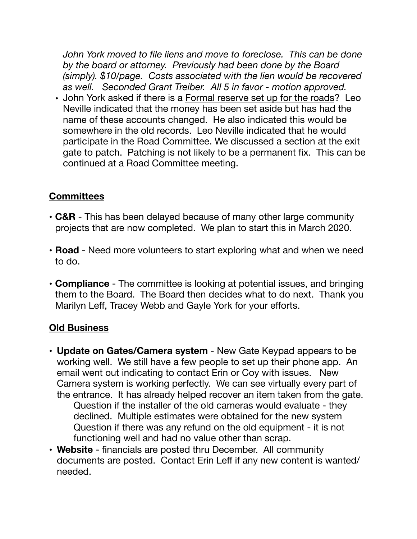*John York moved to file liens and move to foreclose. This can be done by the board or attorney. Previously had been done by the Board (simply). \$10/page. Costs associated with the lien would be recovered as well. Seconded Grant Treiber. All 5 in favor - motion approved.* 

• John York asked if there is a Formal reserve set up for the roads? Leo Neville indicated that the money has been set aside but has had the name of these accounts changed. He also indicated this would be somewhere in the old records. Leo Neville indicated that he would participate in the Road Committee. We discussed a section at the exit gate to patch. Patching is not likely to be a permanent fix. This can be continued at a Road Committee meeting.

## **Committees**

- **C&R** This has been delayed because of many other large community projects that are now completed. We plan to start this in March 2020.
- **Road** Need more volunteers to start exploring what and when we need to do.
- **Compliance** The committee is looking at potential issues, and bringing them to the Board. The Board then decides what to do next. Thank you Marilyn Leff, Tracey Webb and Gayle York for your efforts.

## **Old Business**

- **Update on Gates/Camera system** New Gate Keypad appears to be working well. We still have a few people to set up their phone app. An email went out indicating to contact Erin or Coy with issues. New Camera system is working perfectly. We can see virtually every part of the entrance. It has already helped recover an item taken from the gate. Question if the installer of the old cameras would evaluate - they declined. Multiple estimates were obtained for the new system Question if there was any refund on the old equipment - it is not functioning well and had no value other than scrap.
- **Website**  financials are posted thru December. All community documents are posted. Contact Erin Leff if any new content is wanted/ needed.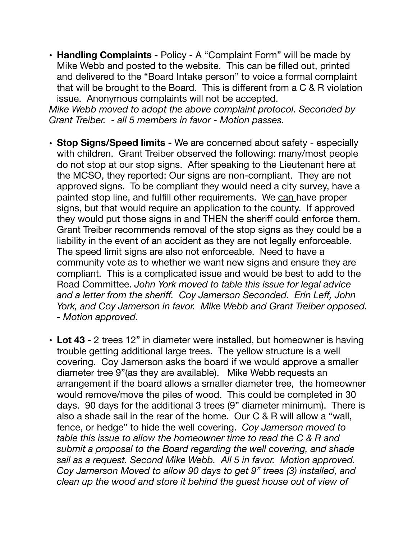• **Handling Complaints** - Policy - A "Complaint Form" will be made by Mike Webb and posted to the website. This can be filled out, printed and delivered to the "Board Intake person" to voice a formal complaint that will be brought to the Board. This is different from a C & R violation issue. Anonymous complaints will not be accepted.

*Mike Webb moved to adopt the above complaint protocol. Seconded by Grant Treiber. - all 5 members in favor - Motion passes.* 

- **• Stop Signs/Speed limits** We are concerned about safety especially with children. Grant Treiber observed the following: many/most people do not stop at our stop signs. After speaking to the Lieutenant here at the MCSO, they reported: Our signs are non-compliant. They are not approved signs. To be compliant they would need a city survey, have a painted stop line, and fulfill other requirements. We can have proper signs, but that would require an application to the county. If approved they would put those signs in and THEN the sheriff could enforce them. Grant Treiber recommends removal of the stop signs as they could be a liability in the event of an accident as they are not legally enforceable. The speed limit signs are also not enforceable. Need to have a community vote as to whether we want new signs and ensure they are compliant. This is a complicated issue and would be best to add to the Road Committee. *John York moved to table this issue for legal advice and a letter from the sheriff. Coy Jamerson Seconded. Erin Leff, John York, and Coy Jamerson in favor. Mike Webb and Grant Treiber opposed. - Motion approved.*
- **Lot 43** 2 trees 12" in diameter were installed, but homeowner is having trouble getting additional large trees. The yellow structure is a well covering. Coy Jamerson asks the board if we would approve a smaller diameter tree 9"(as they are available). Mike Webb requests an arrangement if the board allows a smaller diameter tree, the homeowner would remove/move the piles of wood. This could be completed in 30 days. 90 days for the additional 3 trees (9" diameter minimum). There is also a shade sail in the rear of the home. Our C & R will allow a "wall, fence, or hedge" to hide the well covering. *Coy Jamerson moved to table this issue to allow the homeowner time to read the C & R and submit a proposal to the Board regarding the well covering, and shade sail as a request. Second Mike Webb. All 5 in favor. Motion approved. Coy Jamerson Moved to allow 90 days to get 9" trees (3) installed, and clean up the wood and store it behind the guest house out of view of*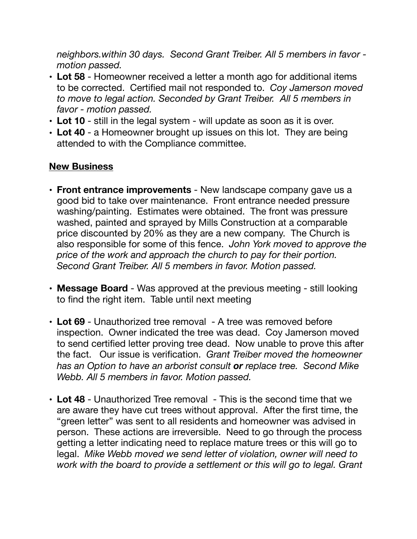*neighbors.within 30 days. Second Grant Treiber. All 5 members in favor motion passed.* 

- **Lot 58** Homeowner received a letter a month ago for additional items to be corrected. Certified mail not responded to. *Coy Jamerson moved to move to legal action. Seconded by Grant Treiber. All 5 members in favor - motion passed.*
- **Lot 10** still in the legal system will update as soon as it is over.
- **• Lot 40** a Homeowner brought up issues on this lot. They are being attended to with the Compliance committee.

## **New Business**

- **Front entrance improvements** New landscape company gave us a good bid to take over maintenance. Front entrance needed pressure washing/painting. Estimates were obtained. The front was pressure washed, painted and sprayed by Mills Construction at a comparable price discounted by 20% as they are a new company. The Church is also responsible for some of this fence. *John York moved to approve the price of the work and approach the church to pay for their portion. Second Grant Treiber. All 5 members in favor. Motion passed.*
- **Message Board** Was approved at the previous meeting still looking to find the right item. Table until next meeting
- **Lot 69** Unauthorized tree removal A tree was removed before inspection. Owner indicated the tree was dead. Coy Jamerson moved to send certified letter proving tree dead. Now unable to prove this after the fact. Our issue is verification. *Grant Treiber moved the homeowner has an Option to have an arborist consult or replace tree. Second Mike Webb. All 5 members in favor. Motion passed.*
- **Lot 48**  Unauthorized Tree removal This is the second time that we are aware they have cut trees without approval. After the first time, the "green letter" was sent to all residents and homeowner was advised in person. These actions are irreversible. Need to go through the process getting a letter indicating need to replace mature trees or this will go to legal. *Mike Webb moved we send letter of violation, owner will need to work with the board to provide a settlement or this will go to legal. Grant*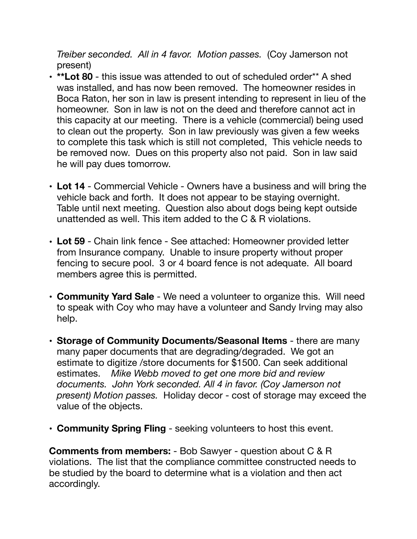*Treiber seconded. All in 4 favor. Motion passes.* (Coy Jamerson not present)

- **\*\*Lot 80** this issue was attended to out of scheduled order\*\* A shed was installed, and has now been removed. The homeowner resides in Boca Raton, her son in law is present intending to represent in lieu of the homeowner. Son in law is not on the deed and therefore cannot act in this capacity at our meeting. There is a vehicle (commercial) being used to clean out the property. Son in law previously was given a few weeks to complete this task which is still not completed, This vehicle needs to be removed now. Dues on this property also not paid. Son in law said he will pay dues tomorrow.
- **Lot 14** Commercial Vehicle Owners have a business and will bring the vehicle back and forth. It does not appear to be staying overnight. Table until next meeting. Question also about dogs being kept outside unattended as well. This item added to the C & R violations.
- **Lot 59** Chain link fence See attached: Homeowner provided letter from Insurance company. Unable to insure property without proper fencing to secure pool. 3 or 4 board fence is not adequate. All board members agree this is permitted.
- **Community Yard Sale** We need a volunteer to organize this. Will need to speak with Coy who may have a volunteer and Sandy Irving may also help.
- **Storage of Community Documents/Seasonal Items** there are many many paper documents that are degrading/degraded. We got an estimate to digitize /store documents for \$1500. Can seek additional estimates. *Mike Webb moved to get one more bid and review documents. John York seconded. All 4 in favor. (Coy Jamerson not present) Motion passes.* Holiday decor - cost of storage may exceed the value of the objects.
- **Community Spring Fling** seeking volunteers to host this event.

**Comments from members:** - Bob Sawyer - question about C & R violations. The list that the compliance committee constructed needs to be studied by the board to determine what is a violation and then act accordingly.